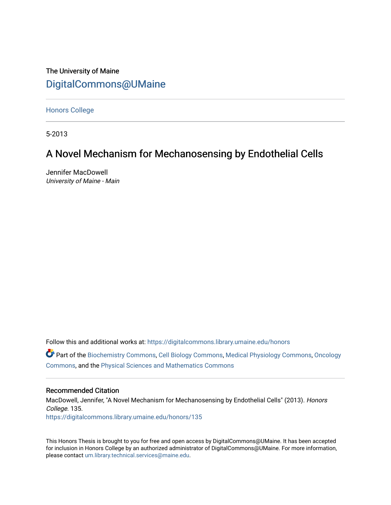The University of Maine [DigitalCommons@UMaine](https://digitalcommons.library.umaine.edu/)

[Honors College](https://digitalcommons.library.umaine.edu/honors)

5-2013

# A Novel Mechanism for Mechanosensing by Endothelial Cells

Jennifer MacDowell University of Maine - Main

Follow this and additional works at: [https://digitalcommons.library.umaine.edu/honors](https://digitalcommons.library.umaine.edu/honors?utm_source=digitalcommons.library.umaine.edu%2Fhonors%2F135&utm_medium=PDF&utm_campaign=PDFCoverPages) 

Part of the [Biochemistry Commons](http://network.bepress.com/hgg/discipline/2?utm_source=digitalcommons.library.umaine.edu%2Fhonors%2F135&utm_medium=PDF&utm_campaign=PDFCoverPages), [Cell Biology Commons](http://network.bepress.com/hgg/discipline/10?utm_source=digitalcommons.library.umaine.edu%2Fhonors%2F135&utm_medium=PDF&utm_campaign=PDFCoverPages), [Medical Physiology Commons](http://network.bepress.com/hgg/discipline/677?utm_source=digitalcommons.library.umaine.edu%2Fhonors%2F135&utm_medium=PDF&utm_campaign=PDFCoverPages), [Oncology](http://network.bepress.com/hgg/discipline/694?utm_source=digitalcommons.library.umaine.edu%2Fhonors%2F135&utm_medium=PDF&utm_campaign=PDFCoverPages) [Commons](http://network.bepress.com/hgg/discipline/694?utm_source=digitalcommons.library.umaine.edu%2Fhonors%2F135&utm_medium=PDF&utm_campaign=PDFCoverPages), and the [Physical Sciences and Mathematics Commons](http://network.bepress.com/hgg/discipline/114?utm_source=digitalcommons.library.umaine.edu%2Fhonors%2F135&utm_medium=PDF&utm_campaign=PDFCoverPages) 

### Recommended Citation

MacDowell, Jennifer, "A Novel Mechanism for Mechanosensing by Endothelial Cells" (2013). Honors College. 135. [https://digitalcommons.library.umaine.edu/honors/135](https://digitalcommons.library.umaine.edu/honors/135?utm_source=digitalcommons.library.umaine.edu%2Fhonors%2F135&utm_medium=PDF&utm_campaign=PDFCoverPages) 

This Honors Thesis is brought to you for free and open access by DigitalCommons@UMaine. It has been accepted for inclusion in Honors College by an authorized administrator of DigitalCommons@UMaine. For more information, please contact [um.library.technical.services@maine.edu.](mailto:um.library.technical.services@maine.edu)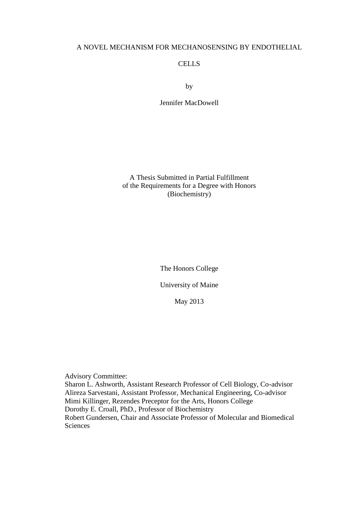## A NOVEL MECHANISM FOR MECHANOSENSING BY ENDOTHELIAL

## CELLS

by

Jennifer MacDowell

A Thesis Submitted in Partial Fulfillment of the Requirements for a Degree with Honors (Biochemistry)

The Honors College

University of Maine

May 2013

Advisory Committee:

Sharon L. Ashworth, Assistant Research Professor of Cell Biology, Co-advisor Alireza Sarvestani, Assistant Professor, Mechanical Engineering, Co-advisor Mimi Killinger, Rezendes Preceptor for the Arts, Honors College Dorothy E. Croall, PhD., Professor of Biochemistry Robert Gundersen, Chair and Associate Professor of Molecular and Biomedical Sciences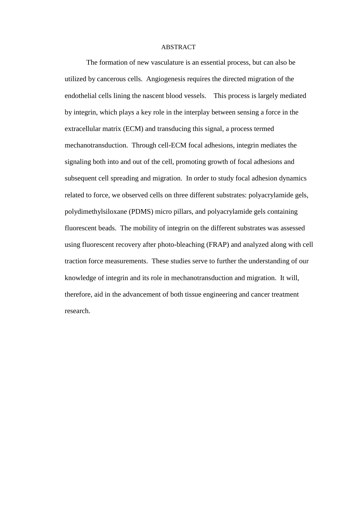#### ABSTRACT

The formation of new vasculature is an essential process, but can also be utilized by cancerous cells. Angiogenesis requires the directed migration of the endothelial cells lining the nascent blood vessels. This process is largely mediated by integrin, which plays a key role in the interplay between sensing a force in the extracellular matrix (ECM) and transducing this signal, a process termed mechanotransduction. Through cell-ECM focal adhesions, integrin mediates the signaling both into and out of the cell, promoting growth of focal adhesions and subsequent cell spreading and migration. In order to study focal adhesion dynamics related to force, we observed cells on three different substrates: polyacrylamide gels, polydimethylsiloxane (PDMS) micro pillars, and polyacrylamide gels containing fluorescent beads. The mobility of integrin on the different substrates was assessed using fluorescent recovery after photo-bleaching (FRAP) and analyzed along with cell traction force measurements. These studies serve to further the understanding of our knowledge of integrin and its role in mechanotransduction and migration. It will, therefore, aid in the advancement of both tissue engineering and cancer treatment research.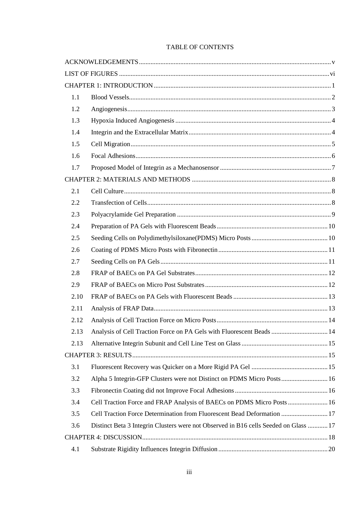| TABLE OF CONTENTS |  |
|-------------------|--|
|-------------------|--|

| 1.1  |                                                                                      |  |
|------|--------------------------------------------------------------------------------------|--|
| 1.2  |                                                                                      |  |
| 1.3  |                                                                                      |  |
| 1.4  |                                                                                      |  |
| 1.5  |                                                                                      |  |
| 1.6  |                                                                                      |  |
| 1.7  |                                                                                      |  |
|      |                                                                                      |  |
| 2.1  |                                                                                      |  |
| 2.2  |                                                                                      |  |
| 2.3  |                                                                                      |  |
| 2.4  |                                                                                      |  |
| 2.5  |                                                                                      |  |
| 2.6  |                                                                                      |  |
| 2.7  |                                                                                      |  |
| 2.8  |                                                                                      |  |
| 2.9  |                                                                                      |  |
| 2.10 |                                                                                      |  |
| 2.11 |                                                                                      |  |
| 2.12 |                                                                                      |  |
| 2.13 | Analysis of Cell Traction Force on PA Gels with Fluorescent Beads  14                |  |
| 2.13 |                                                                                      |  |
|      |                                                                                      |  |
| 3.1  |                                                                                      |  |
| 3.2  | Alpha 5 Integrin-GFP Clusters were not Distinct on PDMS Micro Posts 16               |  |
| 3.3  |                                                                                      |  |
| 3.4  | Cell Traction Force and FRAP Analysis of BAECs on PDMS Micro Posts  16               |  |
| 3.5  | Cell Traction Force Determination from Fluorescent Bead Deformation  17              |  |
| 3.6  | Distinct Beta 3 Integrin Clusters were not Observed in B16 cells Seeded on Glass  17 |  |
|      |                                                                                      |  |
| 4.1  |                                                                                      |  |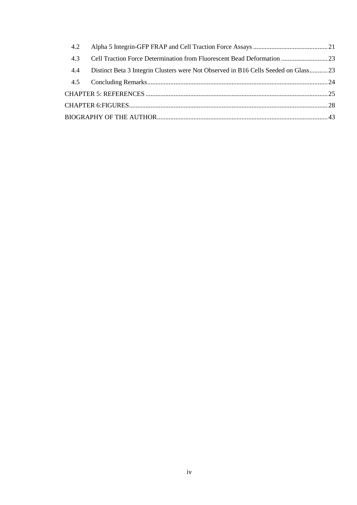| 4.2 |                                                                                     |  |
|-----|-------------------------------------------------------------------------------------|--|
| 4.3 | Cell Traction Force Determination from Fluorescent Bead Deformation  23             |  |
| 4.4 | Distinct Beta 3 Integrin Clusters were Not Observed in B16 Cells Seeded on Glass 23 |  |
|     |                                                                                     |  |
|     |                                                                                     |  |
|     |                                                                                     |  |
|     |                                                                                     |  |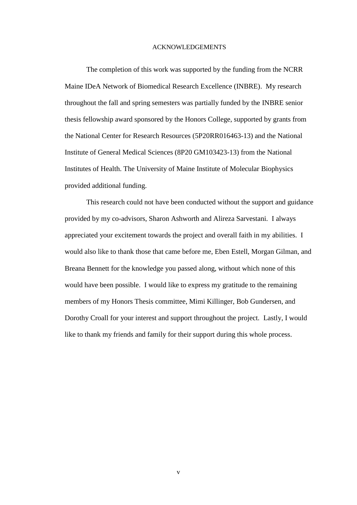#### ACKNOWLEDGEMENTS

<span id="page-5-0"></span>The completion of this work was supported by the funding from the NCRR Maine IDeA Network of Biomedical Research Excellence (INBRE). My research throughout the fall and spring semesters was partially funded by the INBRE senior thesis fellowship award sponsored by the Honors College, supported by grants from the National Center for Research Resources (5P20RR016463-13) and the National Institute of General Medical Sciences (8P20 GM103423-13) from the National Institutes of Health. The University of Maine Institute of Molecular Biophysics provided additional funding.

This research could not have been conducted without the support and guidance provided by my co-advisors, Sharon Ashworth and Alireza Sarvestani. I always appreciated your excitement towards the project and overall faith in my abilities. I would also like to thank those that came before me, Eben Estell, Morgan Gilman, and Breana Bennett for the knowledge you passed along, without which none of this would have been possible. I would like to express my gratitude to the remaining members of my Honors Thesis committee, Mimi Killinger, Bob Gundersen, and Dorothy Croall for your interest and support throughout the project. Lastly, I would like to thank my friends and family for their support during this whole process.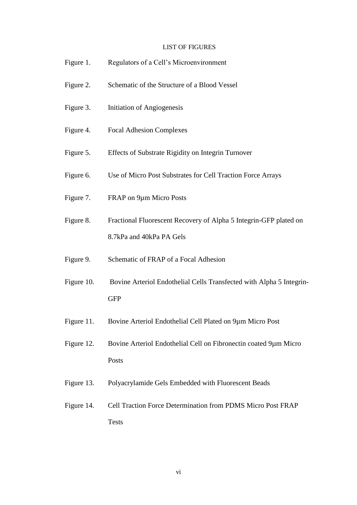# LIST OF FIGURES

<span id="page-6-0"></span>

| Figure 1.  | Regulators of a Cell's Microenvironment                                                       |  |  |
|------------|-----------------------------------------------------------------------------------------------|--|--|
| Figure 2.  | Schematic of the Structure of a Blood Vessel                                                  |  |  |
| Figure 3.  | Initiation of Angiogenesis                                                                    |  |  |
| Figure 4.  | <b>Focal Adhesion Complexes</b>                                                               |  |  |
| Figure 5.  | Effects of Substrate Rigidity on Integrin Turnover                                            |  |  |
| Figure 6.  | Use of Micro Post Substrates for Cell Traction Force Arrays                                   |  |  |
| Figure 7.  | FRAP on 9µm Micro Posts                                                                       |  |  |
| Figure 8.  | Fractional Fluorescent Recovery of Alpha 5 Integrin-GFP plated on<br>8.7kPa and 40kPa PA Gels |  |  |
| Figure 9.  | Schematic of FRAP of a Focal Adhesion                                                         |  |  |
| Figure 10. | Bovine Arteriol Endothelial Cells Transfected with Alpha 5 Integrin-<br><b>GFP</b>            |  |  |
| Figure 11. | Bovine Arteriol Endothelial Cell Plated on 9µm Micro Post                                     |  |  |
| Figure 12. | Bovine Arteriol Endothelial Cell on Fibronectin coated 9µm Micro<br>Posts                     |  |  |

- Figure 13. Polyacrylamide Gels Embedded with Fluorescent Beads
- Figure 14. Cell Traction Force Determination from PDMS Micro Post FRAP Tests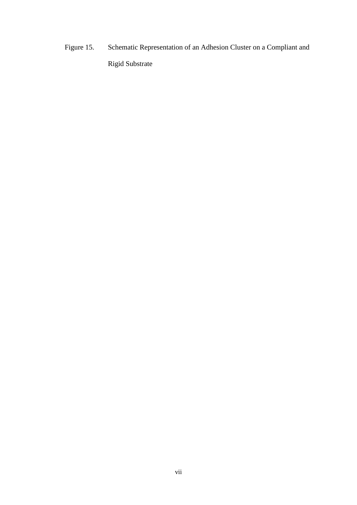Figure 15. Schematic Representation of an Adhesion Cluster on a Compliant and Rigid Substrate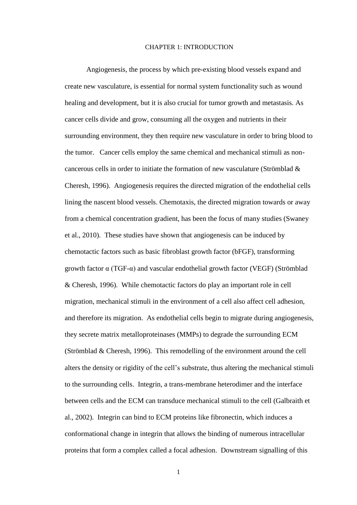#### CHAPTER 1: INTRODUCTION

<span id="page-8-0"></span>Angiogenesis, the process by which pre-existing blood vessels expand and create new vasculature, is essential for normal system functionality such as wound healing and development, but it is also crucial for tumor growth and metastasis. As cancer cells divide and grow, consuming all the oxygen and nutrients in their surrounding environment, they then require new vasculature in order to bring blood to the tumor. Cancer cells employ the same chemical and mechanical stimuli as noncancerous cells in order to initiate the formation of new vasculature (Strömblad & Cheresh, 1996). Angiogenesis requires the directed migration of the endothelial cells lining the nascent blood vessels. Chemotaxis, the directed migration towards or away from a chemical concentration gradient, has been the focus of many studies (Swaney et al., 2010). These studies have shown that angiogenesis can be induced by chemotactic factors such as basic fibroblast growth factor (bFGF), transforming growth factor α (TGF-α) and vascular endothelial growth factor (VEGF) (Strömblad & Cheresh, 1996). While chemotactic factors do play an important role in cell migration, mechanical stimuli in the environment of a cell also affect cell adhesion, and therefore its migration. As endothelial cells begin to migrate during angiogenesis, they secrete matrix metalloproteinases (MMPs) to degrade the surrounding ECM (Strömblad & Cheresh, 1996). This remodelling of the environment around the cell alters the density or rigidity of the cell's substrate, thus altering the mechanical stimuli to the surrounding cells. Integrin, a trans-membrane heterodimer and the interface between cells and the ECM can transduce mechanical stimuli to the cell (Galbraith et al., 2002). Integrin can bind to ECM proteins like fibronectin, which induces a conformational change in integrin that allows the binding of numerous intracellular proteins that form a complex called a focal adhesion. Downstream signalling of this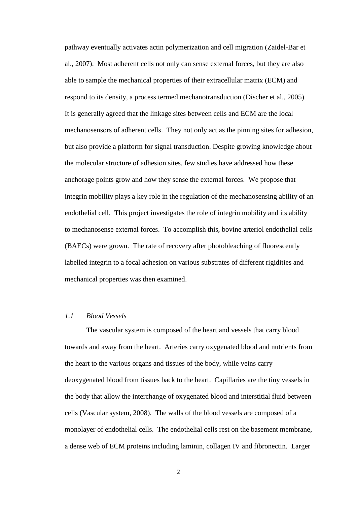pathway eventually activates actin polymerization and cell migration (Zaidel-Bar et al., 2007). Most adherent cells not only can sense external forces, but they are also able to sample the mechanical properties of their extracellular matrix (ECM) and respond to its density, a process termed mechanotransduction (Discher et al., 2005). It is generally agreed that the linkage sites between cells and ECM are the local mechanosensors of adherent cells. They not only act as the pinning sites for adhesion, but also provide a platform for signal transduction. Despite growing knowledge about the molecular structure of adhesion sites, few studies have addressed how these anchorage points grow and how they sense the external forces. We propose that integrin mobility plays a key role in the regulation of the mechanosensing ability of an endothelial cell. This project investigates the role of integrin mobility and its ability to mechanosense external forces. To accomplish this, bovine arteriol endothelial cells (BAECs) were grown. The rate of recovery after photobleaching of fluorescently labelled integrin to a focal adhesion on various substrates of different rigidities and mechanical properties was then examined.

## <span id="page-9-0"></span>*1.1 Blood Vessels*

The vascular system is composed of the heart and vessels that carry blood towards and away from the heart. Arteries carry oxygenated blood and nutrients from the heart to the various organs and tissues of the body, while veins carry deoxygenated blood from tissues back to the heart. Capillaries are the tiny vessels in the body that allow the interchange of oxygenated blood and interstitial fluid between cells (Vascular system, 2008). The walls of the blood vessels are composed of a monolayer of endothelial cells. The endothelial cells rest on the basement membrane, a dense web of ECM proteins including laminin, collagen IV and fibronectin. Larger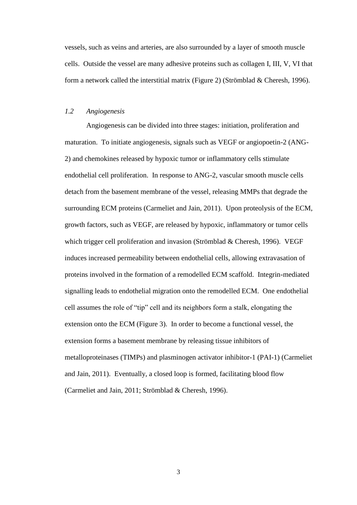vessels, such as veins and arteries, are also surrounded by a layer of smooth muscle cells. Outside the vessel are many adhesive proteins such as collagen I, III, V, VI that form a network called the interstitial matrix (Figure 2) (Strömblad & Cheresh, 1996).

## <span id="page-10-0"></span>*1.2 Angiogenesis*

Angiogenesis can be divided into three stages: initiation, proliferation and maturation. To initiate angiogenesis, signals such as VEGF or angiopoetin-2 (ANG-2) and chemokines released by hypoxic tumor or inflammatory cells stimulate endothelial cell proliferation. In response to ANG-2, vascular smooth muscle cells detach from the basement membrane of the vessel, releasing MMPs that degrade the surrounding ECM proteins (Carmeliet and Jain, 2011). Upon proteolysis of the ECM, growth factors, such as VEGF, are released by hypoxic, inflammatory or tumor cells which trigger cell proliferation and invasion (Strömblad & Cheresh, 1996). VEGF induces increased permeability between endothelial cells, allowing extravasation of proteins involved in the formation of a remodelled ECM scaffold. Integrin-mediated signalling leads to endothelial migration onto the remodelled ECM. One endothelial cell assumes the role of "tip" cell and its neighbors form a stalk, elongating the extension onto the ECM (Figure 3). In order to become a functional vessel, the extension forms a basement membrane by releasing tissue inhibitors of metalloproteinases (TIMPs) and plasminogen activator inhibitor-1 (PAI-1) (Carmeliet and Jain, 2011). Eventually, a closed loop is formed, facilitating blood flow (Carmeliet and Jain, 2011; Strömblad & Cheresh, 1996).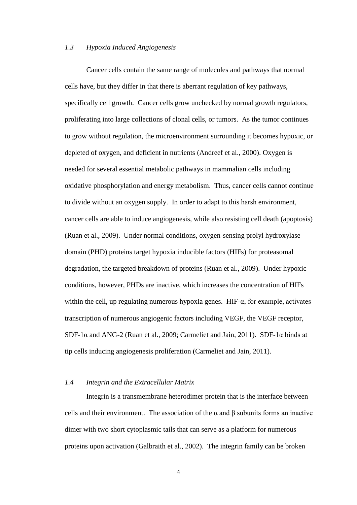### <span id="page-11-0"></span>*1.3 Hypoxia Induced Angiogenesis*

Cancer cells contain the same range of molecules and pathways that normal cells have, but they differ in that there is aberrant regulation of key pathways, specifically cell growth. Cancer cells grow unchecked by normal growth regulators, proliferating into large collections of clonal cells, or tumors. As the tumor continues to grow without regulation, the microenvironment surrounding it becomes hypoxic, or depleted of oxygen, and deficient in nutrients (Andreef et al., 2000). Oxygen is needed for several essential metabolic pathways in mammalian cells including oxidative phosphorylation and energy metabolism. Thus, cancer cells cannot continue to divide without an oxygen supply. In order to adapt to this harsh environment, cancer cells are able to induce angiogenesis, while also resisting cell death (apoptosis) (Ruan et al., 2009). Under normal conditions, oxygen-sensing prolyl hydroxylase domain (PHD) proteins target hypoxia inducible factors (HIFs) for proteasomal degradation, the targeted breakdown of proteins (Ruan et al., 2009). Under hypoxic conditions, however, PHDs are inactive, which increases the concentration of HIFs within the cell, up regulating numerous hypoxia genes. HIF- $\alpha$ , for example, activates transcription of numerous angiogenic factors including VEGF, the VEGF receptor, SDF-1 $\alpha$  and ANG-2 (Ruan et al., 2009; Carmeliet and Jain, 2011). SDF-1 $\alpha$  binds at tip cells inducing angiogenesis proliferation (Carmeliet and Jain, 2011).

## <span id="page-11-1"></span>*1.4 Integrin and the Extracellular Matrix*

Integrin is a transmembrane heterodimer protein that is the interface between cells and their environment. The association of the  $\alpha$  and  $\beta$  subunits forms an inactive dimer with two short cytoplasmic tails that can serve as a platform for numerous proteins upon activation (Galbraith et al., 2002). The integrin family can be broken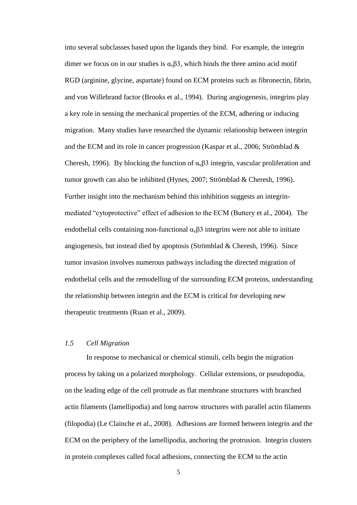into several subclasses based upon the ligands they bind. For example, the integrin dimer we focus on in our studies is  $\alpha_v\beta$ 3, which binds the three amino acid motif RGD (arginine, glycine, aspartate) found on ECM proteins such as fibronectin, fibrin, and von Willebrand factor (Brooks et al., 1994). During angiogenesis, integrins play a key role in sensing the mechanical properties of the ECM, adhering or inducing migration. Many studies have researched the dynamic relationship between integrin and the ECM and its role in cancer progression (Kaspar et al., 2006; Strömblad & Cheresh, 1996). By blocking the function of  $\alpha_{\rm v}$  β3 integrin, vascular proliferation and tumor growth can also be inhibited (Hynes, 2007; Strömblad & Cheresh, 1996). Further insight into the mechanism behind this inhibition suggests an integrinmediated "cytoprotective" effect of adhesion to the ECM (Buttery et al., 2004). The endothelial cells containing non-functional  $\alpha_{\nu} \beta$ 3 integrins were not able to initiate angiogenesis, but instead died by apoptosis (Strömblad & Cheresh, 1996). Since tumor invasion involves numerous pathways including the directed migration of endothelial cells and the remodelling of the surrounding ECM proteins, understanding the relationship between integrin and the ECM is critical for developing new therapeutic treatments (Ruan et al., 2009).

## <span id="page-12-0"></span>*1.5 Cell Migration*

In response to mechanical or chemical stimuli, cells begin the migration process by taking on a polarized morphology. Cellular extensions, or pseudopodia, on the leading edge of the cell protrude as flat membrane structures with branched actin filaments (lamellipodia) and long narrow structures with parallel actin filaments (filopodia) (Le Clainche et al., 2008). Adhesions are formed between integrin and the ECM on the periphery of the lamellipodia, anchoring the protrusion. Integrin clusters in protein complexes called focal adhesions, connecting the ECM to the actin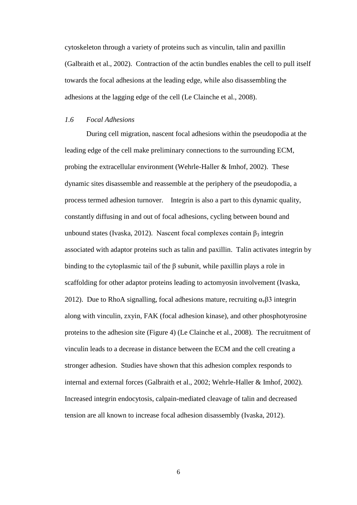cytoskeleton through a variety of proteins such as vinculin, talin and paxillin (Galbraith et al., 2002). Contraction of the actin bundles enables the cell to pull itself towards the focal adhesions at the leading edge, while also disassembling the adhesions at the lagging edge of the cell (Le Clainche et al., 2008).

## <span id="page-13-0"></span>*1.6 Focal Adhesions*

During cell migration, nascent focal adhesions within the pseudopodia at the leading edge of the cell make preliminary connections to the surrounding ECM, probing the extracellular environment (Wehrle-Haller & Imhof, 2002). These dynamic sites disassemble and reassemble at the periphery of the pseudopodia, a process termed adhesion turnover. Integrin is also a part to this dynamic quality, constantly diffusing in and out of focal adhesions, cycling between bound and unbound states (Ivaska, 2012). Nascent focal complexes contain  $\beta_3$  integrin associated with adaptor proteins such as talin and paxillin. Talin activates integrin by binding to the cytoplasmic tail of the  $\beta$  subunit, while paxillin plays a role in scaffolding for other adaptor proteins leading to actomyosin involvement (Ivaska, 2012). Due to RhoA signalling, focal adhesions mature, recruiting  $\alpha_{\rm v}$   $\beta$ 3 integrin along with vinculin, zxyin, FAK (focal adhesion kinase), and other phosphotyrosine proteins to the adhesion site (Figure 4) (Le Clainche et al., 2008). The recruitment of vinculin leads to a decrease in distance between the ECM and the cell creating a stronger adhesion. Studies have shown that this adhesion complex responds to internal and external forces (Galbraith et al., 2002; Wehrle-Haller & Imhof, 2002). Increased integrin endocytosis, calpain-mediated cleavage of talin and decreased tension are all known to increase focal adhesion disassembly (Ivaska, 2012).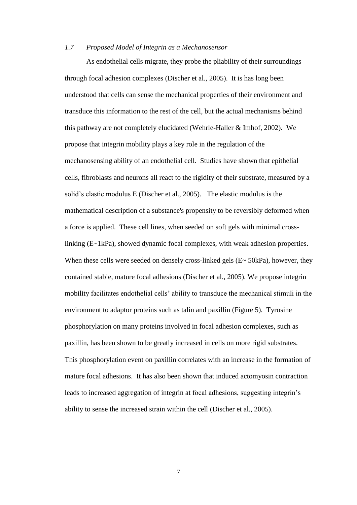#### <span id="page-14-0"></span>*1.7 Proposed Model of Integrin as a Mechanosensor*

As endothelial cells migrate, they probe the pliability of their surroundings through focal adhesion complexes (Discher et al., 2005). It is has long been understood that cells can sense the mechanical properties of their environment and transduce this information to the rest of the cell, but the actual mechanisms behind this pathway are not completely elucidated (Wehrle-Haller & Imhof, 2002). We propose that integrin mobility plays a key role in the regulation of the mechanosensing ability of an endothelial cell. Studies have shown that epithelial cells, fibroblasts and neurons all react to the rigidity of their substrate, measured by a solid's elastic modulus E (Discher et al., 2005). The elastic modulus is the mathematical description of a substance's propensity to be reversibly deformed when a force is applied. These cell lines, when seeded on soft gels with minimal crosslinking (E~1kPa), showed dynamic focal complexes, with weak adhesion properties. When these cells were seeded on densely cross-linked gels (E~ 50kPa), however, they contained stable, mature focal adhesions (Discher et al., 2005). We propose integrin mobility facilitates endothelial cells' ability to transduce the mechanical stimuli in the environment to adaptor proteins such as talin and paxillin (Figure 5). Tyrosine phosphorylation on many proteins involved in focal adhesion complexes, such as paxillin, has been shown to be greatly increased in cells on more rigid substrates. This phosphorylation event on paxillin correlates with an increase in the formation of mature focal adhesions. It has also been shown that induced actomyosin contraction leads to increased aggregation of integrin at focal adhesions, suggesting integrin's ability to sense the increased strain within the cell (Discher et al., 2005).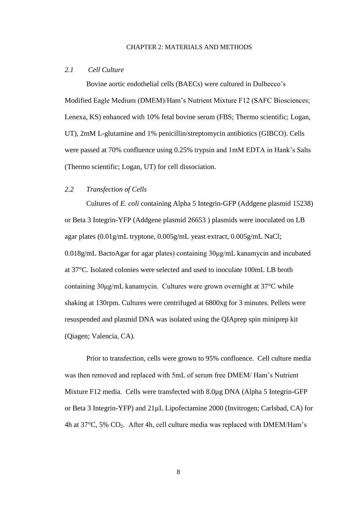#### CHAPTER 2: MATERIALS AND METHODS

#### <span id="page-15-1"></span><span id="page-15-0"></span>*2.1 Cell Culture*

Bovine aortic endothelial cells (BAECs) were cultured in Dulbecco's Modified Eagle Medium (DMEM)/Ham's Nutrient Mixture F12 (SAFC Biosciences; Lenexa, KS) enhanced with 10% fetal bovine serum (FBS; Thermo scientific; Logan, UT), 2mM L-glutamine and 1% penicillin/streptomycin antibiotics (GIBCO). Cells were passed at 70% confluence using 0.25% trypsin and 1mM EDTA in Hank's Salts (Thermo scientific; Logan, UT) for cell dissociation.

## <span id="page-15-2"></span>*2.2 Transfection of Cells*

Cultures of *E. coli* containing Alpha 5 Integrin-GFP (Addgene plasmid 15238) or Beta 3 Integrin-YFP (Addgene plasmid 26653 ) plasmids were inoculated on LB agar plates (0.01g/mL tryptone, 0.005g/mL yeast extract, 0.005g/mL NaCl; 0.018g/mL BactoAgar for agar plates) containing 30μg/mL kanamycin and incubated at 37°C. Isolated colonies were selected and used to inoculate 100mL LB broth containing 30μg/mL kanamycin. Cultures were grown overnight at 37°C while shaking at 130rpm. Cultures were centrifuged at 6800xg for 3 minutes. Pellets were resuspended and plasmid DNA was isolated using the QIAprep spin miniprep kit (Qiagen; Valencia, CA).

Prior to transfection, cells were grown to 95% confluence. Cell culture media was then removed and replaced with 5mL of serum free DMEM/ Ham's Nutrient Mixture F12 media. Cells were transfected with 8.0µg DNA (Alpha 5 Integrin-GFP or Beta 3 Integrin-YFP) and 21µL Lipofectamine 2000 (Invitrogen; Carlsbad, CA) for 4h at  $37^{\circ}$ C, 5% CO<sub>2</sub>. After 4h, cell culture media was replaced with DMEM/Ham's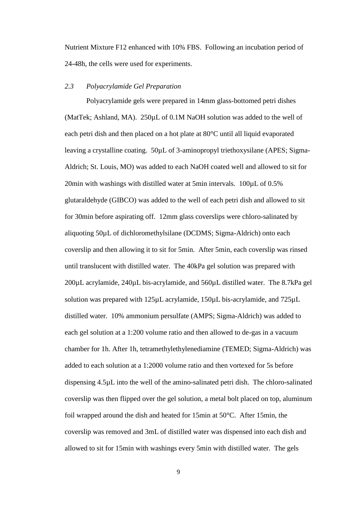Nutrient Mixture F12 enhanced with 10% FBS. Following an incubation period of 24-48h, the cells were used for experiments.

## <span id="page-16-0"></span>*2.3 Polyacrylamide Gel Preparation*

Polyacrylamide gels were prepared in 14mm glass-bottomed petri dishes (MatTek; Ashland, MA). 250µL of 0.1M NaOH solution was added to the well of each petri dish and then placed on a hot plate at 80°C until all liquid evaporated leaving a crystalline coating. 50µL of 3-aminopropyl triethoxysilane (APES; Sigma-Aldrich; St. Louis, MO) was added to each NaOH coated well and allowed to sit for 20min with washings with distilled water at 5min intervals. 100µL of 0.5% glutaraldehyde (GIBCO) was added to the well of each petri dish and allowed to sit for 30min before aspirating off. 12mm glass coverslips were chloro-salinated by aliquoting 50µL of dichloromethylsilane (DCDMS; Sigma-Aldrich) onto each coverslip and then allowing it to sit for 5min. After 5min, each coverslip was rinsed until translucent with distilled water. The 40kPa gel solution was prepared with 200µL acrylamide, 240µL bis-acrylamide, and 560µL distilled water. The 8.7kPa gel solution was prepared with 125µL acrylamide, 150µL bis-acrylamide, and 725µL distilled water. 10% ammonium persulfate (AMPS; Sigma-Aldrich) was added to each gel solution at a 1:200 volume ratio and then allowed to de-gas in a vacuum chamber for 1h. After 1h, tetramethylethylenediamine (TEMED; Sigma-Aldrich) was added to each solution at a 1:2000 volume ratio and then vortexed for 5s before dispensing 4.5µL into the well of the amino-salinated petri dish. The chloro-salinated coverslip was then flipped over the gel solution, a metal bolt placed on top, aluminum foil wrapped around the dish and heated for 15min at 50°C. After 15min, the coverslip was removed and 3mL of distilled water was dispensed into each dish and allowed to sit for 15min with washings every 5min with distilled water. The gels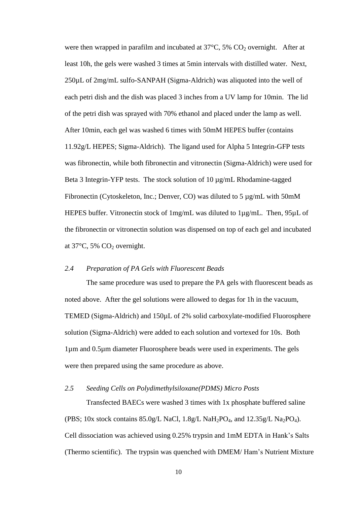were then wrapped in parafilm and incubated at  $37^{\circ}$ C,  $5\%$  CO<sub>2</sub> overnight. After at least 10h, the gels were washed 3 times at 5min intervals with distilled water. Next, 250µL of 2mg/mL sulfo-SANPAH (Sigma-Aldrich) was aliquoted into the well of each petri dish and the dish was placed 3 inches from a UV lamp for 10min. The lid of the petri dish was sprayed with 70% ethanol and placed under the lamp as well. After 10min, each gel was washed 6 times with 50mM HEPES buffer (contains 11.92g/L HEPES; Sigma-Aldrich). The ligand used for Alpha 5 Integrin-GFP tests was fibronectin, while both fibronectin and vitronectin (Sigma-Aldrich) were used for Beta 3 Integrin-YFP tests. The stock solution of 10  $\mu$ g/mL Rhodamine-tagged Fibronectin (Cytoskeleton, Inc.; Denver, CO) was diluted to 5 µg/mL with 50mM HEPES buffer. Vitronectin stock of 1mg/mL was diluted to 1µg/mL. Then, 95µL of the fibronectin or vitronectin solution was dispensed on top of each gel and incubated at  $37^{\circ}$ C, 5% CO<sub>2</sub> overnight.

## <span id="page-17-0"></span>*2.4 Preparation of PA Gels with Fluorescent Beads*

The same procedure was used to prepare the PA gels with fluorescent beads as noted above. After the gel solutions were allowed to degas for 1h in the vacuum, TEMED (Sigma-Aldrich) and 150µL of 2% solid carboxylate-modified Fluorosphere solution (Sigma-Aldrich) were added to each solution and vortexed for 10s. Both 1µm and 0.5µm diameter Fluorosphere beads were used in experiments. The gels were then prepared using the same procedure as above.

## <span id="page-17-1"></span>*2.5 Seeding Cells on Polydimethylsiloxane(PDMS) Micro Posts*

Transfected BAECs were washed 3 times with 1x phosphate buffered saline (PBS; 10x stock contains  $85.0g/L$  NaCl,  $1.8g/L$  NaH<sub>2</sub>PO<sub>4</sub>, and  $12.35g/L$  Na<sub>2</sub>PO<sub>4</sub>). Cell dissociation was achieved using 0.25% trypsin and 1mM EDTA in Hank's Salts (Thermo scientific). The trypsin was quenched with DMEM/ Ham's Nutrient Mixture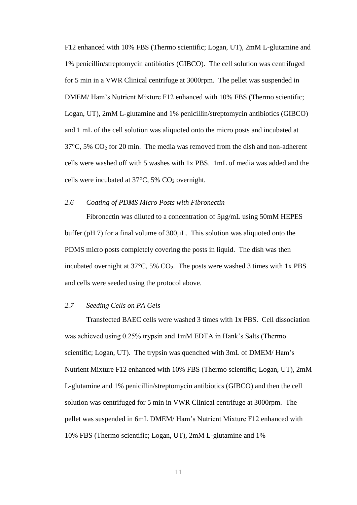F12 enhanced with 10% FBS (Thermo scientific; Logan, UT), 2mM L-glutamine and 1% penicillin/streptomycin antibiotics (GIBCO). The cell solution was centrifuged for 5 min in a VWR Clinical centrifuge at 3000rpm. The pellet was suspended in DMEM/ Ham's Nutrient Mixture F12 enhanced with 10% FBS (Thermo scientific; Logan, UT), 2mM L-glutamine and 1% penicillin/streptomycin antibiotics (GIBCO) and 1 mL of the cell solution was aliquoted onto the micro posts and incubated at  $37^{\circ}$ C, 5% CO<sub>2</sub> for 20 min. The media was removed from the dish and non-adherent cells were washed off with 5 washes with 1x PBS. 1mL of media was added and the cells were incubated at  $37^{\circ}$ C, 5% CO<sub>2</sub> overnight.

## <span id="page-18-0"></span>*2.6 Coating of PDMS Micro Posts with Fibronectin*

Fibronectin was diluted to a concentration of 5µg/mL using 50mM HEPES buffer (pH 7) for a final volume of 300µL. This solution was aliquoted onto the PDMS micro posts completely covering the posts in liquid. The dish was then incubated overnight at  $37^{\circ}$ C,  $5\%$  CO<sub>2</sub>. The posts were washed 3 times with 1x PBS and cells were seeded using the protocol above.

## <span id="page-18-1"></span>*2.7 Seeding Cells on PA Gels*

Transfected BAEC cells were washed 3 times with 1x PBS. Cell dissociation was achieved using 0.25% trypsin and 1mM EDTA in Hank's Salts (Thermo scientific; Logan, UT). The trypsin was quenched with 3mL of DMEM/ Ham's Nutrient Mixture F12 enhanced with 10% FBS (Thermo scientific; Logan, UT), 2mM L-glutamine and 1% penicillin/streptomycin antibiotics (GIBCO) and then the cell solution was centrifuged for 5 min in VWR Clinical centrifuge at 3000rpm. The pellet was suspended in 6mL DMEM/ Ham's Nutrient Mixture F12 enhanced with 10% FBS (Thermo scientific; Logan, UT), 2mM L-glutamine and 1%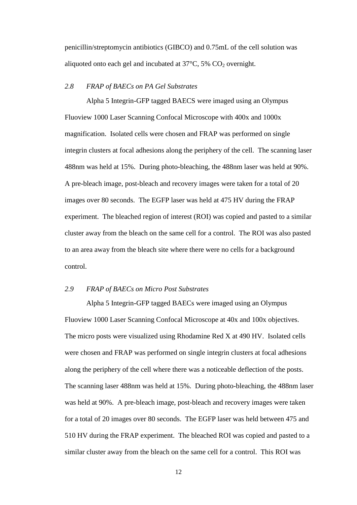penicillin/streptomycin antibiotics (GIBCO) and 0.75mL of the cell solution was aliquoted onto each gel and incubated at  $37^{\circ}$ C,  $5\%$  CO<sub>2</sub> overnight.

## <span id="page-19-0"></span>*2.8 FRAP of BAECs on PA Gel Substrates*

Alpha 5 Integrin-GFP tagged BAECS were imaged using an Olympus Fluoview 1000 Laser Scanning Confocal Microscope with 400x and 1000x magnification. Isolated cells were chosen and FRAP was performed on single integrin clusters at focal adhesions along the periphery of the cell. The scanning laser 488nm was held at 15%. During photo-bleaching, the 488nm laser was held at 90%. A pre-bleach image, post-bleach and recovery images were taken for a total of 20 images over 80 seconds. The EGFP laser was held at 475 HV during the FRAP experiment. The bleached region of interest (ROI) was copied and pasted to a similar cluster away from the bleach on the same cell for a control. The ROI was also pasted to an area away from the bleach site where there were no cells for a background control.

#### <span id="page-19-1"></span>*2.9 FRAP of BAECs on Micro Post Substrates*

Alpha 5 Integrin-GFP tagged BAECs were imaged using an Olympus Fluoview 1000 Laser Scanning Confocal Microscope at 40x and 100x objectives. The micro posts were visualized using Rhodamine Red X at 490 HV. Isolated cells were chosen and FRAP was performed on single integrin clusters at focal adhesions along the periphery of the cell where there was a noticeable deflection of the posts. The scanning laser 488nm was held at 15%. During photo-bleaching, the 488nm laser was held at 90%. A pre-bleach image, post-bleach and recovery images were taken for a total of 20 images over 80 seconds. The EGFP laser was held between 475 and 510 HV during the FRAP experiment. The bleached ROI was copied and pasted to a similar cluster away from the bleach on the same cell for a control. This ROI was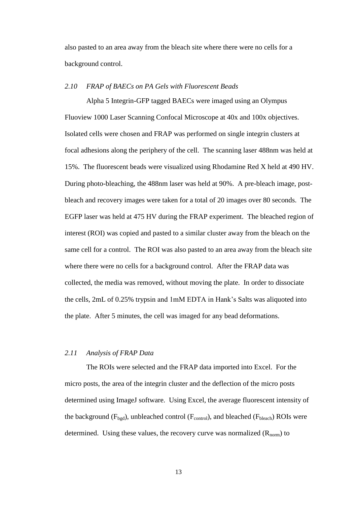also pasted to an area away from the bleach site where there were no cells for a background control.

## <span id="page-20-0"></span>*2.10 FRAP of BAECs on PA Gels with Fluorescent Beads*

Alpha 5 Integrin-GFP tagged BAECs were imaged using an Olympus Fluoview 1000 Laser Scanning Confocal Microscope at 40x and 100x objectives. Isolated cells were chosen and FRAP was performed on single integrin clusters at focal adhesions along the periphery of the cell. The scanning laser 488nm was held at 15%. The fluorescent beads were visualized using Rhodamine Red X held at 490 HV. During photo-bleaching, the 488nm laser was held at 90%. A pre-bleach image, postbleach and recovery images were taken for a total of 20 images over 80 seconds. The EGFP laser was held at 475 HV during the FRAP experiment. The bleached region of interest (ROI) was copied and pasted to a similar cluster away from the bleach on the same cell for a control. The ROI was also pasted to an area away from the bleach site where there were no cells for a background control. After the FRAP data was collected, the media was removed, without moving the plate. In order to dissociate the cells, 2mL of 0.25% trypsin and 1mM EDTA in Hank's Salts was aliquoted into the plate. After 5 minutes, the cell was imaged for any bead deformations.

## <span id="page-20-1"></span>*2.11 Analysis of FRAP Data*

The ROIs were selected and the FRAP data imported into Excel. For the micro posts, the area of the integrin cluster and the deflection of the micro posts determined using ImageJ software. Using Excel, the average fluorescent intensity of the background  $(F_{\text{bgd}})$ , unbleached control  $(F_{\text{control}})$ , and bleached  $(F_{\text{bleach}})$  ROIs were determined. Using these values, the recovery curve was normalized  $(R_{norm})$  to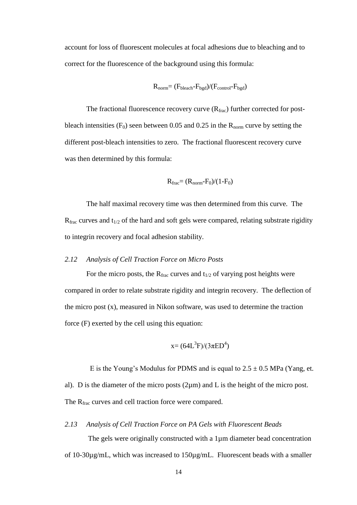account for loss of fluorescent molecules at focal adhesions due to bleaching and to correct for the fluorescence of the background using this formula:

$$
R_{norm} = (F_{bleach} - F_{bgd})/(F_{control} - F_{bgd})
$$

The fractional fluorescence recovery curve  $(R<sub>frac</sub>)$  further corrected for postbleach intensities  $(F_0)$  seen between 0.05 and 0.25 in the  $R_{norm}$  curve by setting the different post-bleach intensities to zero. The fractional fluorescent recovery curve was then determined by this formula:

$$
R_{\text{frac}}=(R_{\text{norm}}-F_0)/(1-F_0)
$$

The half maximal recovery time was then determined from this curve. The  $R_{\text{frac}}$  curves and  $t_{1/2}$  of the hard and soft gels were compared, relating substrate rigidity to integrin recovery and focal adhesion stability.

## <span id="page-21-0"></span>*2.12 Analysis of Cell Traction Force on Micro Posts*

For the micro posts, the  $R_{\text{frac}}$  curves and  $t_{1/2}$  of varying post heights were compared in order to relate substrate rigidity and integrin recovery. The deflection of the micro post (x), measured in Nikon software, was used to determine the traction force (F) exerted by the cell using this equation:

$$
x=(64L^3F)/(3\pi ED^4)
$$

E is the Young's Modulus for PDMS and is equal to  $2.5 \pm 0.5$  MPa (Yang, et. al). D is the diameter of the micro posts (2µm) and L is the height of the micro post. The R<sub>frac</sub> curves and cell traction force were compared.

#### <span id="page-21-1"></span>*2.13 Analysis of Cell Traction Force on PA Gels with Fluorescent Beads*

The gels were originally constructed with a 1µm diameter bead concentration of 10-30µg/mL, which was increased to 150µg/mL. Fluorescent beads with a smaller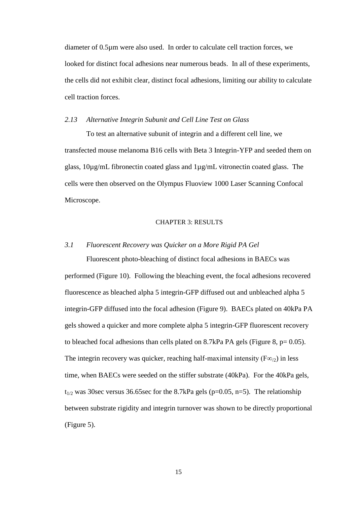diameter of 0.5µm were also used. In order to calculate cell traction forces, we looked for distinct focal adhesions near numerous beads. In all of these experiments, the cells did not exhibit clear, distinct focal adhesions, limiting our ability to calculate cell traction forces.

#### <span id="page-22-0"></span>*2.13 Alternative Integrin Subunit and Cell Line Test on Glass*

To test an alternative subunit of integrin and a different cell line, we transfected mouse melanoma B16 cells with Beta 3 Integrin-YFP and seeded them on glass, 10µg/mL fibronectin coated glass and 1µg/mL vitronectin coated glass. The cells were then observed on the Olympus Fluoview 1000 Laser Scanning Confocal Microscope.

### CHAPTER 3: RESULTS

### <span id="page-22-2"></span><span id="page-22-1"></span>*3.1 Fluorescent Recovery was Quicker on a More Rigid PA Gel*

Fluorescent photo-bleaching of distinct focal adhesions in BAECs was performed (Figure 10). Following the bleaching event, the focal adhesions recovered fluorescence as bleached alpha 5 integrin-GFP diffused out and unbleached alpha 5 integrin-GFP diffused into the focal adhesion (Figure 9). BAECs plated on 40kPa PA gels showed a quicker and more complete alpha 5 integrin-GFP fluorescent recovery to bleached focal adhesions than cells plated on  $8.7kPa$  PA gels (Figure  $8, p= 0.05$ ). The integrin recovery was quicker, reaching half-maximal intensity ( $F\infty$ ) in less time, when BAECs were seeded on the stiffer substrate (40kPa). For the 40kPa gels,  $t_{1/2}$  was 30sec versus 36.65sec for the 8.7kPa gels (p=0.05, n=5). The relationship between substrate rigidity and integrin turnover was shown to be directly proportional (Figure 5).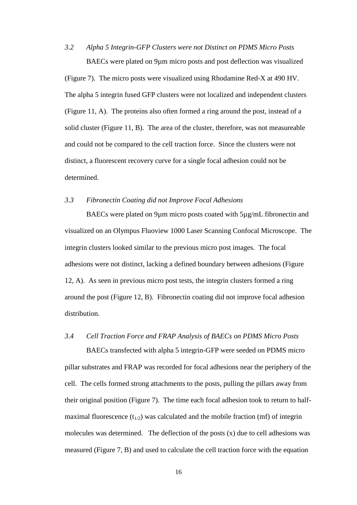<span id="page-23-0"></span>*3.2 Alpha 5 Integrin-GFP Clusters were not Distinct on PDMS Micro Posts*  BAECs were plated on 9µm micro posts and post deflection was visualized

(Figure 7). The micro posts were visualized using Rhodamine Red-X at 490 HV. The alpha 5 integrin fused GFP clusters were not localized and independent clusters (Figure 11, A). The proteins also often formed a ring around the post, instead of a solid cluster (Figure 11, B). The area of the cluster, therefore, was not measureable and could not be compared to the cell traction force. Since the clusters were not distinct, a fluorescent recovery curve for a single focal adhesion could not be determined.

## <span id="page-23-1"></span>*3.3 Fibronectin Coating did not Improve Focal Adhesions*

BAECs were plated on 9µm micro posts coated with 5µg/mL fibronectin and visualized on an Olympus Fluoview 1000 Laser Scanning Confocal Microscope. The integrin clusters looked similar to the previous micro post images. The focal adhesions were not distinct, lacking a defined boundary between adhesions (Figure 12, A). As seen in previous micro post tests, the integrin clusters formed a ring around the post (Figure 12, B). Fibronectin coating did not improve focal adhesion distribution.

## <span id="page-23-2"></span>*3.4 Cell Traction Force and FRAP Analysis of BAECs on PDMS Micro Posts*

BAECs transfected with alpha 5 integrin-GFP were seeded on PDMS micro pillar substrates and FRAP was recorded for focal adhesions near the periphery of the cell. The cells formed strong attachments to the posts, pulling the pillars away from their original position (Figure 7). The time each focal adhesion took to return to halfmaximal fluorescence  $(t_{1/2})$  was calculated and the mobile fraction (mf) of integrin molecules was determined. The deflection of the posts  $(x)$  due to cell adhesions was measured (Figure 7, B) and used to calculate the cell traction force with the equation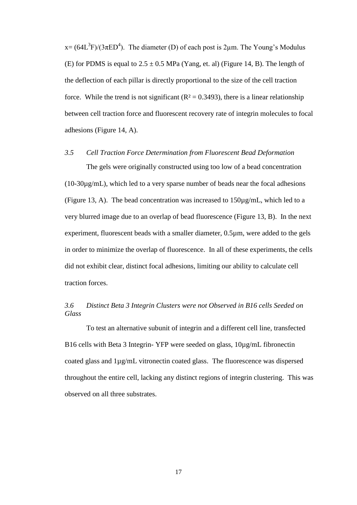$x = (64L<sup>3</sup>F)/(3\pi ED<sup>4</sup>)$ . The diameter (D) of each post is 2 $\mu$ m. The Young's Modulus (E) for PDMS is equal to  $2.5 \pm 0.5$  MPa (Yang, et. al) (Figure 14, B). The length of the deflection of each pillar is directly proportional to the size of the cell traction force. While the trend is not significant ( $R^2 = 0.3493$ ), there is a linear relationship between cell traction force and fluorescent recovery rate of integrin molecules to focal adhesions (Figure 14, A).

## <span id="page-24-0"></span>*3.5 Cell Traction Force Determination from Fluorescent Bead Deformation*

The gels were originally constructed using too low of a bead concentration  $(10-30\mu g/mL)$ , which led to a very sparse number of beads near the focal adhesions (Figure 13, A). The bead concentration was increased to 150µg/mL, which led to a very blurred image due to an overlap of bead fluorescence (Figure 13, B). In the next experiment, fluorescent beads with a smaller diameter, 0.5µm, were added to the gels in order to minimize the overlap of fluorescence. In all of these experiments, the cells did not exhibit clear, distinct focal adhesions, limiting our ability to calculate cell traction forces.

## <span id="page-24-1"></span>*3.6 Distinct Beta 3 Integrin Clusters were not Observed in B16 cells Seeded on Glass*

To test an alternative subunit of integrin and a different cell line, transfected B16 cells with Beta 3 Integrin- YFP were seeded on glass,  $10\mu\text{g/mL}$  fibronectin coated glass and 1µg/mL vitronectin coated glass. The fluorescence was dispersed throughout the entire cell, lacking any distinct regions of integrin clustering. This was observed on all three substrates.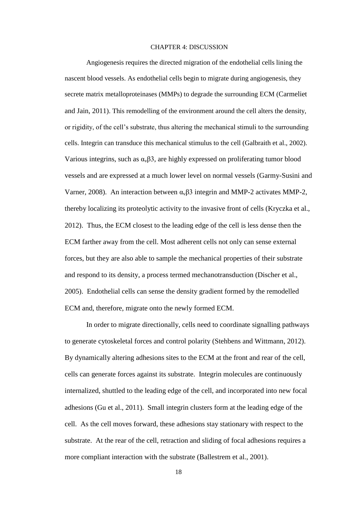#### CHAPTER 4: DISCUSSION

<span id="page-25-0"></span>Angiogenesis requires the directed migration of the endothelial cells lining the nascent blood vessels. As endothelial cells begin to migrate during angiogenesis, they secrete matrix metalloproteinases (MMPs) to degrade the surrounding ECM (Carmeliet and Jain, 2011). This remodelling of the environment around the cell alters the density, or rigidity, of the cell's substrate, thus altering the mechanical stimuli to the surrounding cells. Integrin can transduce this mechanical stimulus to the cell (Galbraith et al., 2002). Various integrins, such as  $\alpha_{\nu} \beta 3$ , are highly expressed on proliferating tumor blood vessels and are expressed at a much lower level on normal vessels (Garmy-Susini and Varner, 2008). An interaction between  $\alpha_{\nu} \beta$ 3 integrin and MMP-2 activates MMP-2, thereby localizing its proteolytic activity to the invasive front of cells (Kryczka et al., 2012). Thus, the ECM closest to the leading edge of the cell is less dense then the ECM farther away from the cell. Most adherent cells not only can sense external forces, but they are also able to sample the mechanical properties of their substrate and respond to its density, a process termed mechanotransduction (Discher et al., 2005). Endothelial cells can sense the density gradient formed by the remodelled ECM and, therefore, migrate onto the newly formed ECM.

In order to migrate directionally, cells need to coordinate signalling pathways to generate cytoskeletal forces and control polarity (Stehbens and Wittmann, 2012). By dynamically altering adhesions sites to the ECM at the front and rear of the cell, cells can generate forces against its substrate. Integrin molecules are continuously internalized, shuttled to the leading edge of the cell, and incorporated into new focal adhesions (Gu et al., 2011). Small integrin clusters form at the leading edge of the cell. As the cell moves forward, these adhesions stay stationary with respect to the substrate. At the rear of the cell, retraction and sliding of focal adhesions requires a more compliant interaction with the substrate (Ballestrem et al., 2001).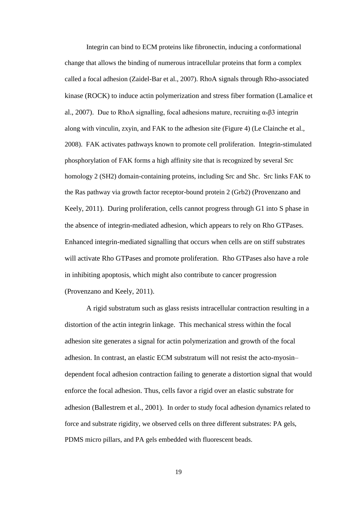Integrin can bind to ECM proteins like fibronectin, inducing a conformational change that allows the binding of numerous intracellular proteins that form a complex called a focal adhesion (Zaidel-Bar et al., 2007). RhoA signals through Rho-associated kinase (ROCK) to induce actin polymerization and stress fiber formation (Lamalice et al., 2007). Due to RhoA signalling, focal adhesions mature, recruiting  $\alpha_{\nu} \beta$ 3 integrin along with vinculin, zxyin, and FAK to the adhesion site (Figure 4) (Le Clainche et al., 2008). FAK activates pathways known to promote cell proliferation. Integrin-stimulated phosphorylation of FAK forms a high affinity site that is recognized by several Src homology 2 (SH2) domain-containing proteins, including Src and Shc. Src links FAK to the Ras pathway via growth factor receptor-bound protein 2 (Grb2) (Provenzano and Keely, 2011). During proliferation, cells cannot progress through G1 into S phase in the absence of integrin-mediated adhesion, which appears to rely on Rho GTPases. Enhanced integrin-mediated signalling that occurs when cells are on stiff substrates will activate Rho GTPases and promote proliferation. Rho GTPases also have a role in inhibiting apoptosis, which might also contribute to cancer progression (Provenzano and Keely, 2011).

A rigid substratum such as glass resists intracellular contraction resulting in a distortion of the actin integrin linkage. This mechanical stress within the focal adhesion site generates a signal for actin polymerization and growth of the focal adhesion. In contrast, an elastic ECM substratum will not resist the acto-myosin– dependent focal adhesion contraction failing to generate a distortion signal that would enforce the focal adhesion. Thus, cells favor a rigid over an elastic substrate for adhesion (Ballestrem et al., 2001). In order to study focal adhesion dynamics related to force and substrate rigidity, we observed cells on three different substrates: PA gels, PDMS micro pillars, and PA gels embedded with fluorescent beads.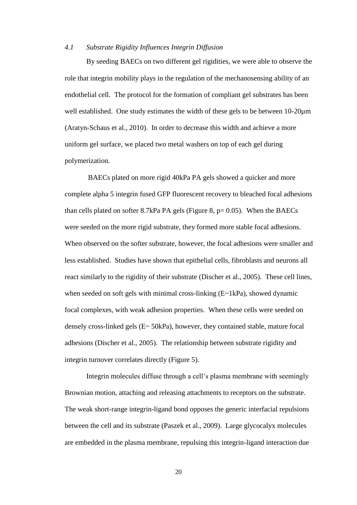#### <span id="page-27-0"></span>*4.1 Substrate Rigidity Influences Integrin Diffusion*

By seeding BAECs on two different gel rigidities, we were able to observe the role that integrin mobility plays in the regulation of the mechanosensing ability of an endothelial cell. The protocol for the formation of compliant gel substrates has been well established. One study estimates the width of these gels to be between 10-20 $\mu$ m (Aratyn-Schaus et al., 2010). In order to decrease this width and achieve a more uniform gel surface, we placed two metal washers on top of each gel during polymerization.

BAECs plated on more rigid 40kPa PA gels showed a quicker and more complete alpha 5 integrin fused GFP fluorescent recovery to bleached focal adhesions than cells plated on softer 8.7kPa PA gels (Figure 8,  $p=0.05$ ). When the BAECs were seeded on the more rigid substrate, they formed more stable focal adhesions. When observed on the softer substrate, however, the focal adhesions were smaller and less established. Studies have shown that epithelial cells, fibroblasts and neurons all react similarly to the rigidity of their substrate (Discher et al., 2005). These cell lines, when seeded on soft gels with minimal cross-linking (E~1kPa), showed dynamic focal complexes, with weak adhesion properties. When these cells were seeded on densely cross-linked gels  $(E \sim 50kPa)$ , however, they contained stable, mature focal adhesions (Discher et al., 2005). The relationship between substrate rigidity and integrin turnover correlates directly (Figure 5).

Integrin molecules diffuse through a cell's plasma membrane with seemingly Brownian motion, attaching and releasing attachments to receptors on the substrate. The weak short-range integrin-ligand bond opposes the generic interfacial repulsions between the cell and its substrate (Paszek et al., 2009). Large glycocalyx molecules are embedded in the plasma membrane, repulsing this integrin-ligand interaction due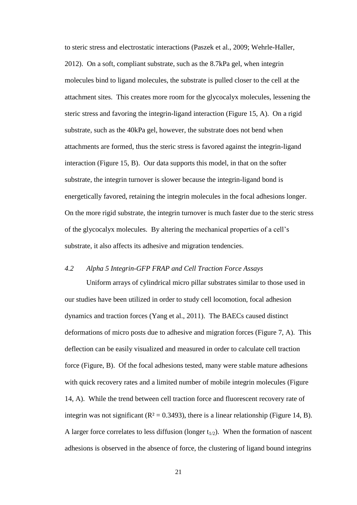to steric stress and electrostatic interactions (Paszek et al., 2009; Wehrle-Haller, 2012). On a soft, compliant substrate, such as the 8.7kPa gel, when integrin molecules bind to ligand molecules, the substrate is pulled closer to the cell at the attachment sites. This creates more room for the glycocalyx molecules, lessening the steric stress and favoring the integrin-ligand interaction (Figure 15, A). On a rigid substrate, such as the 40kPa gel, however, the substrate does not bend when attachments are formed, thus the steric stress is favored against the integrin-ligand interaction (Figure 15, B). Our data supports this model, in that on the softer substrate, the integrin turnover is slower because the integrin-ligand bond is energetically favored, retaining the integrin molecules in the focal adhesions longer. On the more rigid substrate, the integrin turnover is much faster due to the steric stress of the glycocalyx molecules. By altering the mechanical properties of a cell's substrate, it also affects its adhesive and migration tendencies.

## <span id="page-28-0"></span>*4.2 Alpha 5 Integrin-GFP FRAP and Cell Traction Force Assays*

Uniform arrays of cylindrical micro pillar substrates similar to those used in our studies have been utilized in order to study cell locomotion, focal adhesion dynamics and traction forces (Yang et al., 2011). The BAECs caused distinct deformations of micro posts due to adhesive and migration forces (Figure 7, A). This deflection can be easily visualized and measured in order to calculate cell traction force (Figure, B). Of the focal adhesions tested, many were stable mature adhesions with quick recovery rates and a limited number of mobile integrin molecules (Figure 14, A). While the trend between cell traction force and fluorescent recovery rate of integrin was not significant ( $\mathbb{R}^2 = 0.3493$ ), there is a linear relationship (Figure 14, B). A larger force correlates to less diffusion (longer  $t_{1/2}$ ). When the formation of nascent adhesions is observed in the absence of force, the clustering of ligand bound integrins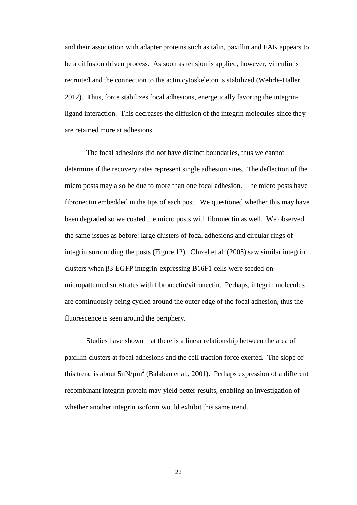and their association with adapter proteins such as talin, paxillin and FAK appears to be a diffusion driven process. As soon as tension is applied, however, vinculin is recruited and the connection to the actin cytoskeleton is stabilized (Wehrle-Haller, 2012). Thus, force stabilizes focal adhesions, energetically favoring the integrinligand interaction. This decreases the diffusion of the integrin molecules since they are retained more at adhesions.

The focal adhesions did not have distinct boundaries, thus we cannot determine if the recovery rates represent single adhesion sites. The deflection of the micro posts may also be due to more than one focal adhesion. The micro posts have fibronectin embedded in the tips of each post. We questioned whether this may have been degraded so we coated the micro posts with fibronectin as well. We observed the same issues as before: large clusters of focal adhesions and circular rings of integrin surrounding the posts (Figure 12). Cluzel et al. (2005) saw similar integrin clusters when β3-EGFP integrin-expressing B16F1 cells were seeded on micropatterned substrates with fibronectin/vitronectin. Perhaps, integrin molecules are continuously being cycled around the outer edge of the focal adhesion, thus the fluorescence is seen around the periphery.

Studies have shown that there is a linear relationship between the area of paxillin clusters at focal adhesions and the cell traction force exerted. The slope of this trend is about  $5nN/\mu m^2$  (Balaban et al., 2001). Perhaps expression of a different recombinant integrin protein may yield better results, enabling an investigation of whether another integrin isoform would exhibit this same trend.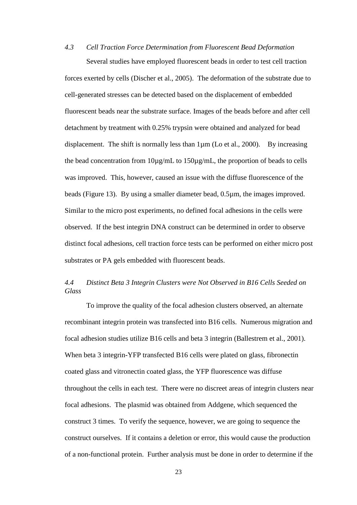# <span id="page-30-0"></span>*4.3 Cell Traction Force Determination from Fluorescent Bead Deformation* Several studies have employed fluorescent beads in order to test cell traction

forces exerted by cells (Discher et al., 2005). The deformation of the substrate due to cell-generated stresses can be detected based on the displacement of embedded fluorescent beads near the substrate surface. Images of the beads before and after cell detachment by treatment with 0.25% trypsin were obtained and analyzed for bead displacement. The shift is normally less than 1µm (Lo et al., 2000). By increasing the bead concentration from 10µg/mL to 150µg/mL, the proportion of beads to cells was improved. This, however, caused an issue with the diffuse fluorescence of the beads (Figure 13). By using a smaller diameter bead, 0.5µm, the images improved. Similar to the micro post experiments, no defined focal adhesions in the cells were observed. If the best integrin DNA construct can be determined in order to observe distinct focal adhesions, cell traction force tests can be performed on either micro post substrates or PA gels embedded with fluorescent beads.

# <span id="page-30-1"></span>*4.4 Distinct Beta 3 Integrin Clusters were Not Observed in B16 Cells Seeded on Glass*

To improve the quality of the focal adhesion clusters observed, an alternate recombinant integrin protein was transfected into B16 cells. Numerous migration and focal adhesion studies utilize B16 cells and beta 3 integrin (Ballestrem et al., 2001). When beta 3 integrin-YFP transfected B16 cells were plated on glass, fibronectin coated glass and vitronectin coated glass, the YFP fluorescence was diffuse throughout the cells in each test. There were no discreet areas of integrin clusters near focal adhesions. The plasmid was obtained from Addgene, which sequenced the construct 3 times. To verify the sequence, however, we are going to sequence the construct ourselves. If it contains a deletion or error, this would cause the production of a non-functional protein. Further analysis must be done in order to determine if the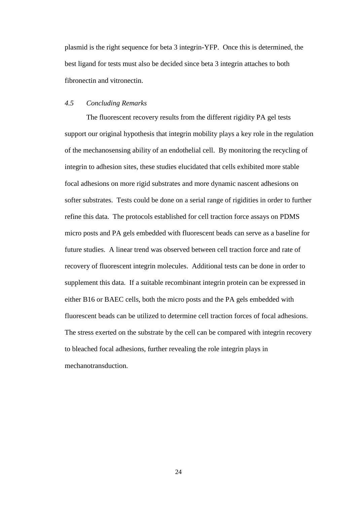plasmid is the right sequence for beta 3 integrin-YFP. Once this is determined, the best ligand for tests must also be decided since beta 3 integrin attaches to both fibronectin and vitronectin.

## <span id="page-31-0"></span>*4.5 Concluding Remarks*

The fluorescent recovery results from the different rigidity PA gel tests support our original hypothesis that integrin mobility plays a key role in the regulation of the mechanosensing ability of an endothelial cell. By monitoring the recycling of integrin to adhesion sites, these studies elucidated that cells exhibited more stable focal adhesions on more rigid substrates and more dynamic nascent adhesions on softer substrates. Tests could be done on a serial range of rigidities in order to further refine this data. The protocols established for cell traction force assays on PDMS micro posts and PA gels embedded with fluorescent beads can serve as a baseline for future studies. A linear trend was observed between cell traction force and rate of recovery of fluorescent integrin molecules. Additional tests can be done in order to supplement this data. If a suitable recombinant integrin protein can be expressed in either B16 or BAEC cells, both the micro posts and the PA gels embedded with fluorescent beads can be utilized to determine cell traction forces of focal adhesions. The stress exerted on the substrate by the cell can be compared with integrin recovery to bleached focal adhesions, further revealing the role integrin plays in mechanotransduction.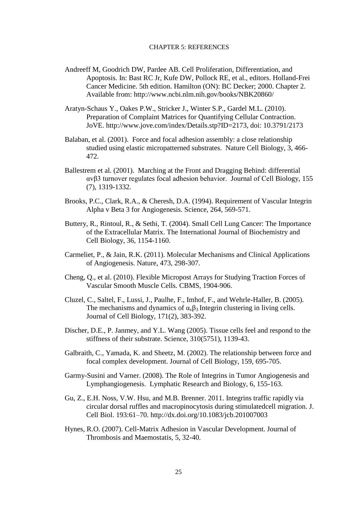#### CHAPTER 5: REFERENCES

- <span id="page-32-0"></span>Andreeff M, Goodrich DW, Pardee AB. Cell Proliferation, Differentiation, and Apoptosis. In: Bast RC Jr, Kufe DW, Pollock RE, et al., editors. Holland-Frei Cancer Medicine. 5th edition. Hamilton (ON): BC Decker; 2000. Chapter 2. Available from:<http://www.ncbi.nlm.nih.gov/books/NBK20860/>
- Aratyn-Schaus Y., Oakes P.W., Stricker J., Winter S.P., Gardel M.L. (2010). Preparation of Complaint Matrices for Quantifying Cellular Contraction. JoVE. http://www.jove.com/index/Details.stp?ID=2173, doi: 10.3791/2173
- Balaban, et al. (2001). Force and focal adhesion assembly: a close relationship studied using elastic micropatterned substrates. Nature Cell Biology, 3, 466- 472.
- Ballestrem et al. (2001). Marching at the Front and Dragging Behind: differential αvβ3 turnover regulates focal adhesion behavior. Journal of Cell Biology, 155 (7), 1319-1332.
- Brooks, P.C., Clark, R.A., & Cheresh, D.A. (1994). Requirement of Vascular Integrin Alpha v Beta 3 for Angiogenesis. Science, 264, 569-571.
- Buttery, R., Rintoul, R., & Sethi, T. (2004). Small Cell Lung Cancer: The Importance of the Extracellular Matrix. The International Journal of Biochemistry and Cell Biology, 36, 1154-1160.
- Carmeliet, P., & Jain, R.K. (2011). Molecular Mechanisms and Clinical Applications of Angiogenesis. Nature, 473, 298-307.
- Cheng, Q., et al. (2010). Flexible Micropost Arrays for Studying Traction Forces of Vascular Smooth Muscle Cells. CBMS, 1904-906.
- Cluzel, C., Saltel, F., Lussi, J., Paulhe, F., Imhof, F., and Wehrle-Haller, B. (2005). The mechanisms and dynamics of  $\alpha_{\nu}\beta_3$  Integrin clustering in living cells. Journal of Cell Biology, 171(2), 383-392.
- Discher, D.E., P. Janmey, and Y.L. Wang (2005). Tissue cells feel and respond to the stiffness of their substrate. Science, 310(5751), 1139-43.
- Galbraith, C., Yamada, K. and Sheetz, M. (2002). The relationship between force and focal complex development. Journal of Cell Biology, 159, 695-705.
- Garmy-Susini and Varner. (2008). The Role of Integrins in Tumor Angiogenesis and Lymphangiogenesis. Lymphatic Research and Biology, 6, 155-163.
- Gu, Z., E.H. Noss, V.W. Hsu, and M.B. Brenner. 2011. Integrins traffic rapidly via circular dorsal ruffles and macropinocytosis during stimulatedcell migration. J. Cell Biol. 193:61–70. http://dx.doi.org/10.1083/jcb.201007003
- Hynes, R.O. (2007). Cell-Matrix Adhesion in Vascular Development. Journal of Thrombosis and Maemostatis, 5, 32-40.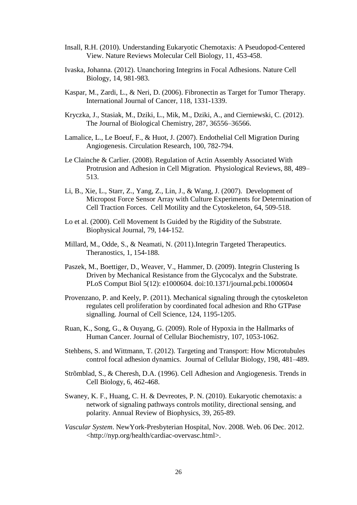- Insall, R.H. (2010). Understanding Eukaryotic Chemotaxis: A Pseudopod-Centered View. Nature Reviews Molecular Cell Biology, 11, 453-458.
- Ivaska, Johanna. (2012). Unanchoring Integrins in Focal Adhesions. Nature Cell Biology, 14, 981-983.
- Kaspar, M., Zardi, L., & Neri, D. (2006). Fibronectin as Target for Tumor Therapy. International Journal of Cancer, 118, 1331-1339.
- Kryczka, J., Stasiak, M., Dziki, L., Mik, M., Dziki, A., and Cierniewski, C. (2012). The Journal of Biological Chemistry, 287, 36556–36566.
- Lamalice, L., Le Boeuf, F., & Huot, J. (2007). Endothelial Cell Migration During Angiogenesis. Circulation Research, 100, 782-794.
- Le Clainche & Carlier. (2008). Regulation of Actin Assembly Associated With Protrusion and Adhesion in Cell Migration. Physiological Reviews, 88, 489– 513.
- Li, B., Xie, L., Starr, Z., Yang, Z., Lin, J., & Wang, J. (2007). Development of Micropost Force Sensor Array with Culture Experiments for Determination of Cell Traction Forces. Cell Motility and the Cytoskeleton, 64, 509-518.
- Lo et al. (2000). Cell Movement Is Guided by the Rigidity of the Substrate. Biophysical Journal, 79, 144-152.
- Millard, M., Odde, S., & Neamati, N. (2011).Integrin Targeted Therapeutics. Theranostics, 1, 154-188.
- Paszek, M., Boettiger, D., Weaver, V., Hammer, D. (2009). Integrin Clustering Is Driven by Mechanical Resistance from the Glycocalyx and the Substrate. PLoS Comput Biol 5(12): e1000604. doi:10.1371/journal.pcbi.1000604
- Provenzano, P. and Keely, P. (2011). Mechanical signaling through the cytoskeleton regulates cell proliferation by coordinated focal adhesion and Rho GTPase signalling. Journal of Cell Science, 124, 1195-1205.
- Ruan, K., Song, G., & Ouyang, G. (2009). Role of Hypoxia in the Hallmarks of Human Cancer. Journal of Cellular Biochemistry, 107, 1053-1062.
- Stehbens, S. and Wittmann, T. (2012). Targeting and Transport: How Microtubules control focal adhesion dynamics. Journal of Cellular Biology, 198, 481–489.
- Strõmblad, S., & Cheresh, D.A. (1996). Cell Adhesion and Angiogenesis. Trends in Cell Biology, 6, 462-468.
- Swaney, K. F., Huang, C. H. & Devreotes, P. N. (2010). Eukaryotic chemotaxis: a network of signaling pathways controls motility, directional sensing, and polarity. Annual Review of Biophysics, 39, 265-89.
- *Vascular System*. NewYork-Presbyterian Hospital, Nov. 2008. Web. 06 Dec. 2012. <http://nyp.org/health/cardiac-overvasc.html>.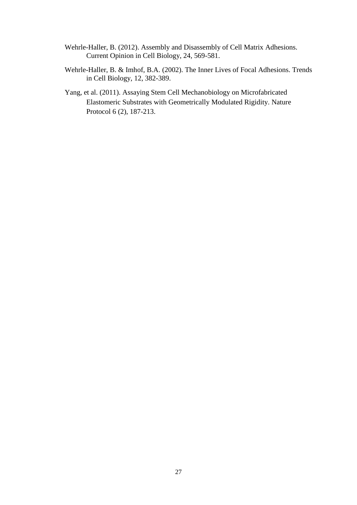- Wehrle-Haller, B. (2012). Assembly and Disassembly of Cell Matrix Adhesions. Current Opinion in Cell Biology, 24, 569-581.
- Wehrle-Haller, B. & Imhof, B.A. (2002). The Inner Lives of Focal Adhesions. Trends in Cell Biology, 12, 382-389.
- Yang, et al. (2011). Assaying Stem Cell Mechanobiology on Microfabricated Elastomeric Substrates with Geometrically Modulated Rigidity. Nature Protocol 6 (2), 187-213.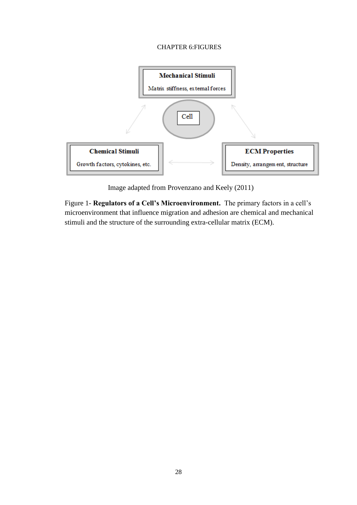## CHAPTER 6:FIGURES

<span id="page-35-0"></span>

Image adapted from Provenzano and Keely (2011)

Figure 1- **Regulators of a Cell's Microenvironment.** The primary factors in a cell's microenvironment that influence migration and adhesion are chemical and mechanical stimuli and the structure of the surrounding extra-cellular matrix (ECM).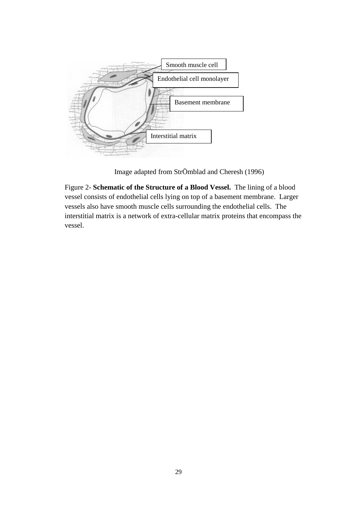

Image adapted from StrÖmblad and Cheresh (1996)

Figure 2- **Schematic of the Structure of a Blood Vessel.** The lining of a blood vessel consists of endothelial cells lying on top of a basement membrane. Larger vessels also have smooth muscle cells surrounding the endothelial cells. The interstitial matrix is a network of extra-cellular matrix proteins that encompass the vessel.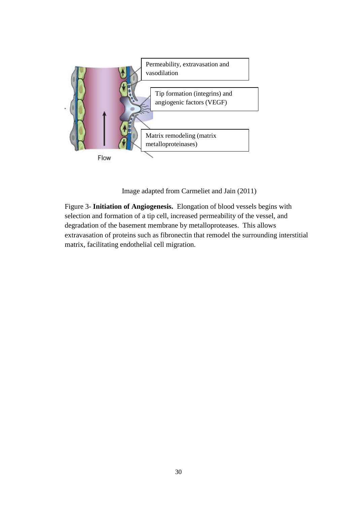

Image adapted from Carmeliet and Jain (2011)

Figure 3- **Initiation of Angiogenesis.** Elongation of blood vessels begins with selection and formation of a tip cell, increased permeability of the vessel, and degradation of the basement membrane by metalloproteases. This allows extravasation of proteins such as fibronectin that remodel the surrounding interstitial matrix, facilitating endothelial cell migration.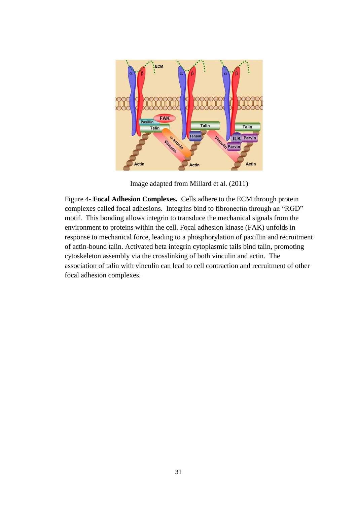

Image adapted from Millard et al. (2011)

Figure 4- **Focal Adhesion Complexes.** Cells adhere to the ECM through protein complexes called focal adhesions. Integrins bind to fibronectin through an "RGD" motif. This bonding allows integrin to transduce the mechanical signals from the environment to proteins within the cell. Focal adhesion kinase (FAK) unfolds in response to mechanical force, leading to a phosphorylation of paxillin and recruitment of actin-bound talin. Activated beta integrin cytoplasmic tails bind talin, promoting cytoskeleton assembly via the crosslinking of both vinculin and actin. The association of talin with vinculin can lead to cell contraction and recruitment of other focal adhesion complexes.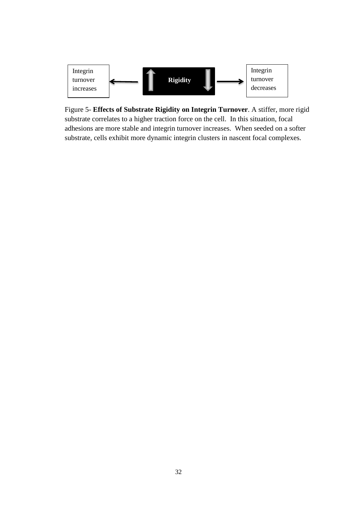

Figure 5- **Effects of Substrate Rigidity on Integrin Turnover**. A stiffer, more rigid substrate correlates to a higher traction force on the cell. In this situation, focal adhesions are more stable and integrin turnover increases. When seeded on a softer substrate, cells exhibit more dynamic integrin clusters in nascent focal complexes.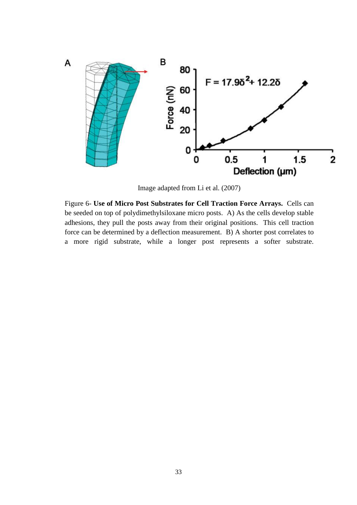

Image adapted from Li et al. (2007)

Figure 6- **Use of Micro Post Substrates for Cell Traction Force Arrays.** Cells can be seeded on top of polydimethylsiloxane micro posts. A) As the cells develop stable adhesions, they pull the posts away from their original positions. This cell traction force can be determined by a deflection measurement. B) A shorter post correlates to a more rigid substrate, while a longer post represents a softer substrate.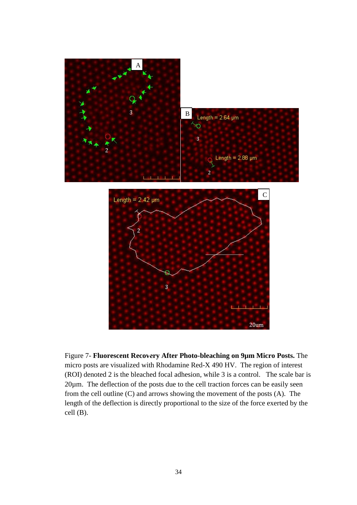



Figure 7- **Fluorescent Recovery After Photo-bleaching on 9µm Micro Posts.** The micro posts are visualized with Rhodamine Red-X 490 HV. The region of interest (ROI) denoted 2 is the bleached focal adhesion, while 3 is a control. The scale bar is 20µm. The deflection of the posts due to the cell traction forces can be easily seen from the cell outline (C) and arrows showing the movement of the posts (A). The length of the deflection is directly proportional to the size of the force exerted by the cell (B).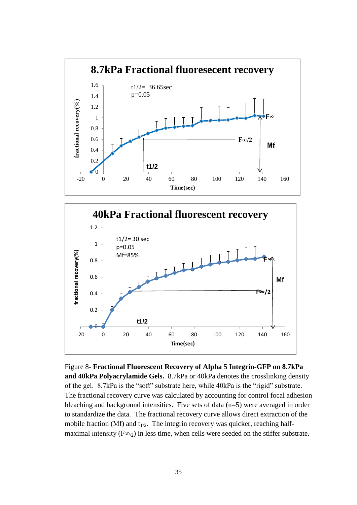



Figure 8- **Fractional Fluorescent Recovery of Alpha 5 Integrin-GFP on 8.7kPa and 40kPa Polyacrylamide Gels.** 8.7kPa or 40kPa denotes the crosslinking density of the gel. 8.7kPa is the "soft" substrate here, while 40kPa is the "rigid" substrate. The fractional recovery curve was calculated by accounting for control focal adhesion bleaching and background intensities. Five sets of data (n=5) were averaged in order to standardize the data. The fractional recovery curve allows direct extraction of the mobile fraction (Mf) and  $t_{1/2}$ . The integrin recovery was quicker, reaching halfmaximal intensity ( $F\infty/2$ ) in less time, when cells were seeded on the stiffer substrate.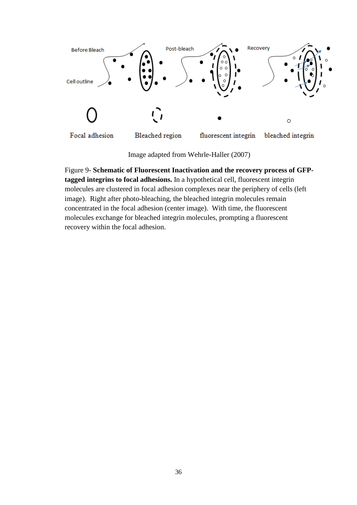

Image adapted from Wehrle-Haller (2007)

Figure 9- **Schematic of Fluorescent Inactivation and the recovery process of GFPtagged integrins to focal adhesions.** In a hypothetical cell, fluorescent integrin molecules are clustered in focal adhesion complexes near the periphery of cells (left image). Right after photo-bleaching, the bleached integrin molecules remain concentrated in the focal adhesion (center image). With time, the fluorescent molecules exchange for bleached integrin molecules, prompting a fluorescent recovery within the focal adhesion.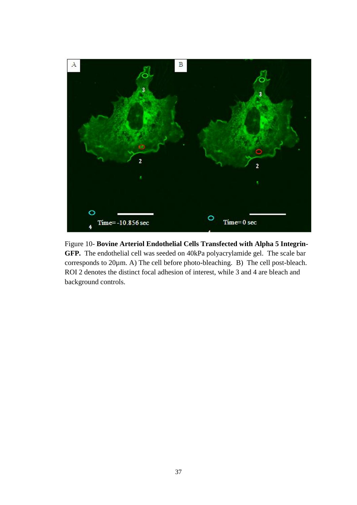

Figure 10- **Bovine Arteriol Endothelial Cells Transfected with Alpha 5 Integrin-GFP.** The endothelial cell was seeded on 40kPa polyacrylamide gel. The scale bar corresponds to 20µm. A) The cell before photo-bleaching. B) The cell post-bleach. ROI 2 denotes the distinct focal adhesion of interest, while 3 and 4 are bleach and background controls.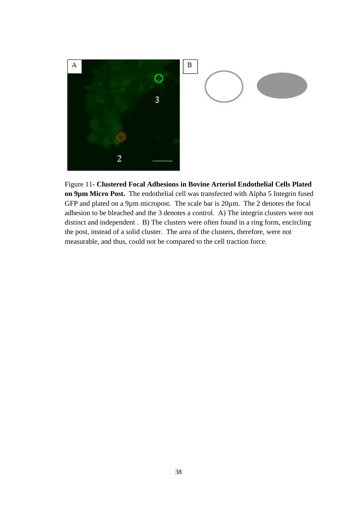

Figure 11- **Clustered Focal Adhesions in Bovine Arteriol Endothelial Cells Plated on 9µm Micro Post.** The endothelial cell was transfected with Alpha 5 Integrin fused GFP and plated on a 9µm micropost. The scale bar is 20µm. The 2 denotes the focal adhesion to be bleached and the 3 denotes a control. A) The integrin clusters were not distinct and independent . B) The clusters were often found in a ring form, encircling the post, instead of a solid cluster. The area of the clusters, therefore, were not measurable, and thus, could not be compared to the cell traction force.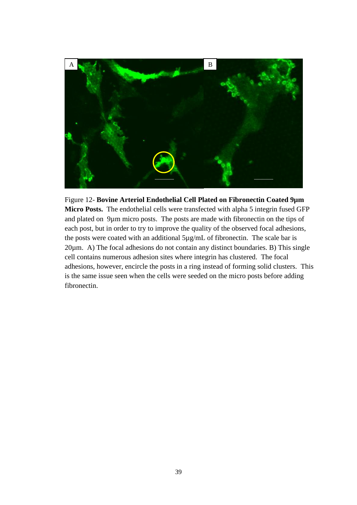

Figure 12- **Bovine Arteriol Endothelial Cell Plated on Fibronectin Coated 9µm Micro Posts.** The endothelial cells were transfected with alpha 5 integrin fused GFP and plated on 9µm micro posts. The posts are made with fibronectin on the tips of each post, but in order to try to improve the quality of the observed focal adhesions, the posts were coated with an additional 5µg/mL of fibronectin. The scale bar is 20µm. A) The focal adhesions do not contain any distinct boundaries. B) This single cell contains numerous adhesion sites where integrin has clustered. The focal adhesions, however, encircle the posts in a ring instead of forming solid clusters. This is the same issue seen when the cells were seeded on the micro posts before adding fibronectin.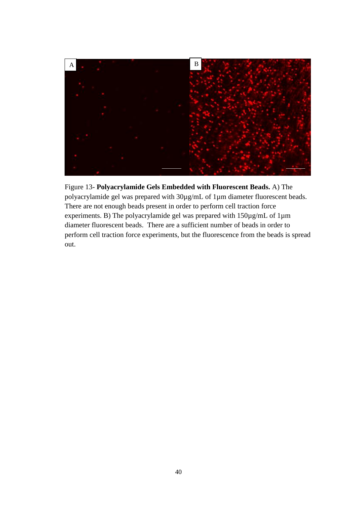

Figure 13- **Polyacrylamide Gels Embedded with Fluorescent Beads.** A) The polyacrylamide gel was prepared with 30µg/mL of 1µm diameter fluorescent beads. There are not enough beads present in order to perform cell traction force experiments. B) The polyacrylamide gel was prepared with 150µg/mL of 1µm diameter fluorescent beads. There are a sufficient number of beads in order to perform cell traction force experiments, but the fluorescence from the beads is spread out.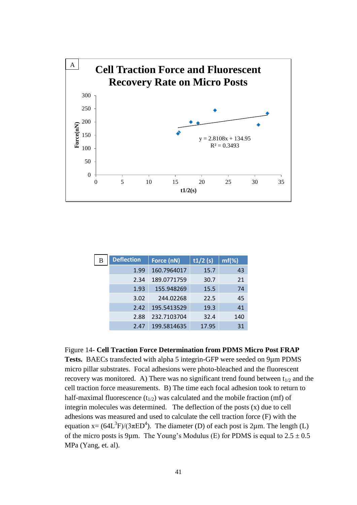

| B | <b>Deflection</b> | Force (nN)  | t1/2(s) | $mf(\%)$ |
|---|-------------------|-------------|---------|----------|
|   | 1.99              | 160.7964017 | 15.7    | 43       |
|   | 2.34              | 189.0771759 | 30.7    | 21       |
|   | 1.93              | 155.948269  | 15.5    | 74       |
|   | 3.02              | 244.02268   | 22.5    | 45       |
|   | 2.42              | 195.5413529 | 19.3    | 41       |
|   | 2.88              | 232.7103704 | 32.4    | 140      |
|   | 2.47              | 199.5814635 | 17.95   | 31       |

Figure 14- **Cell Traction Force Determination from PDMS Micro Post FRAP** 

**Tests.** BAECs transfected with alpha 5 integrin-GFP were seeded on 9µm PDMS micro pillar substrates. Focal adhesions were photo-bleached and the fluorescent recovery was monitored. A) There was no significant trend found between  $t_{1/2}$  and the cell traction force measurements. B) The time each focal adhesion took to return to half-maximal fluorescence  $(t_{1/2})$  was calculated and the mobile fraction (mf) of integrin molecules was determined. The deflection of the posts (x) due to cell adhesions was measured and used to calculate the cell traction force (F) with the equation  $x = (64L^3F)/(3\pi ED^4)$ . The diameter (D) of each post is 2 $\mu$ m. The length (L) of the micro posts is 9µm. The Young's Modulus (E) for PDMS is equal to  $2.5 \pm 0.5$ MPa (Yang, et. al).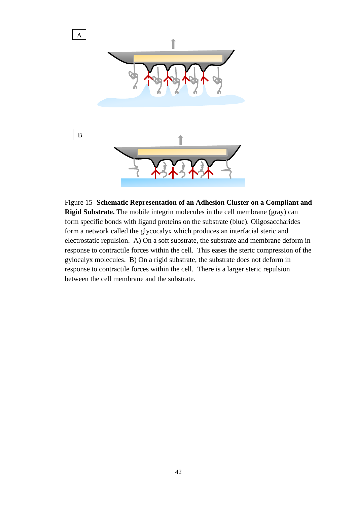

Figure 15- **Schematic Representation of an Adhesion Cluster on a Compliant and Rigid Substrate.** The mobile integrin molecules in the cell membrane (gray) can form specific bonds with ligand proteins on the substrate (blue). Oligosaccharides form a network called the glycocalyx which produces an interfacial steric and electrostatic repulsion. A) On a soft substrate, the substrate and membrane deform in response to contractile forces within the cell. This eases the steric compression of the gylocalyx molecules. B) On a rigid substrate, the substrate does not deform in response to contractile forces within the cell. There is a larger steric repulsion between the cell membrane and the substrate.